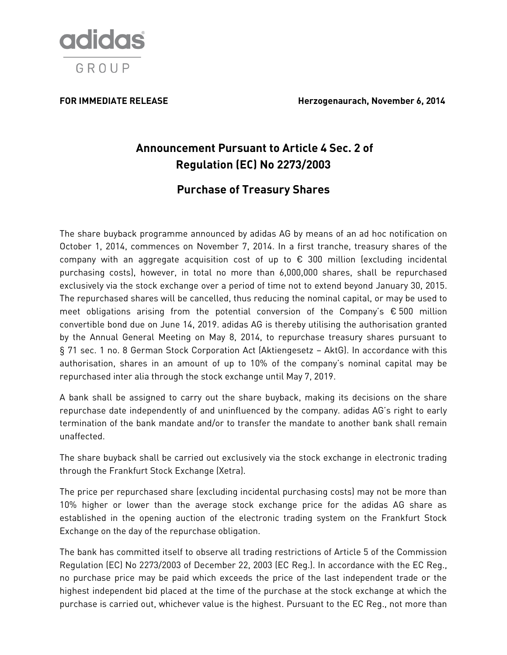

## **FOR IMMEDIATE RELEASE Herzogenaurach, November 6, 2014**

# **Announcement Pursuant to Article 4 Sec. 2 of Regulation (EC) No 2273/2003**

## **Purchase of Treasury Shares**

The share buyback programme announced by adidas AG by means of an ad hoc notification on October 1, 2014, commences on November 7, 2014. In a first tranche, treasury shares of the company with an aggregate acquisition cost of up to € 300 million (excluding incidental purchasing costs), however, in total no more than 6,000,000 shares, shall be repurchased exclusively via the stock exchange over a period of time not to extend beyond January 30, 2015. The repurchased shares will be cancelled, thus reducing the nominal capital, or may be used to meet obligations arising from the potential conversion of the Company's  $\epsilon$  500 million convertible bond due on June 14, 2019. adidas AG is thereby utilising the authorisation granted by the Annual General Meeting on May 8, 2014, to repurchase treasury shares pursuant to § 71 sec. 1 no. 8 German Stock Corporation Act (Aktiengesetz – AktG). In accordance with this authorisation, shares in an amount of up to 10% of the company's nominal capital may be repurchased inter alia through the stock exchange until May 7, 2019.

A bank shall be assigned to carry out the share buyback, making its decisions on the share repurchase date independently of and uninfluenced by the company. adidas AG's right to early termination of the bank mandate and/or to transfer the mandate to another bank shall remain unaffected.

The share buyback shall be carried out exclusively via the stock exchange in electronic trading through the Frankfurt Stock Exchange (Xetra).

The price per repurchased share (excluding incidental purchasing costs) may not be more than 10% higher or lower than the average stock exchange price for the adidas AG share as established in the opening auction of the electronic trading system on the Frankfurt Stock Exchange on the day of the repurchase obligation.

The bank has committed itself to observe all trading restrictions of Article 5 of the Commission Regulation (EC) No 2273/2003 of December 22, 2003 (EC Reg.). In accordance with the EC Reg., no purchase price may be paid which exceeds the price of the last independent trade or the highest independent bid placed at the time of the purchase at the stock exchange at which the purchase is carried out, whichever value is the highest. Pursuant to the EC Reg., not more than